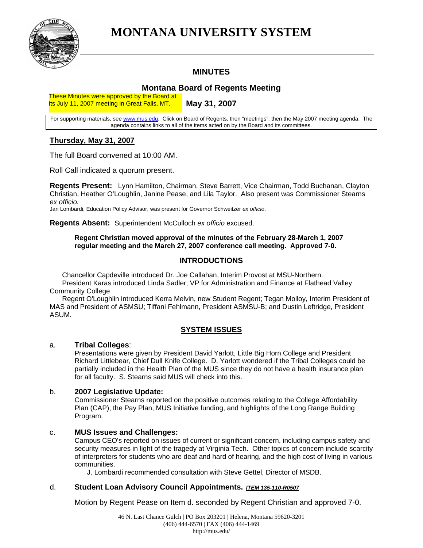

# **MONTANA UNIVERSITY SYSTEM**

## **MINUTES**

## **Montana Board of Regents Meeting**

These Minutes were approved by the Board at its July 11, 2007 meeting in Great Falls, MT.

**May 31, 2007** 

For supporting materials, see [www.mus.edu.](http://www.mus.edu/) Click on Board of Regents, then "meetings", then the May 2007 meeting agenda. The agenda contains links to all of the items acted on by the Board and its committees.

## **Thursday, May 31, 2007**

The full Board convened at 10:00 AM.

Roll Call indicated a quorum present.

**Regents Present:** Lynn Hamilton, Chairman, Steve Barrett, Vice Chairman, Todd Buchanan, Clayton Christian, Heather O'Loughlin, Janine Pease, and Lila Taylor. Also present was Commissioner Stearns *ex officio.*

Jan Lombardi, Education Policy Advisor, was present for Governor Schweitzer *ex officio*.

**Regents Absent:** Superintendent McCulloch *ex officio* excused.

#### **Regent Christian moved approval of the minutes of the February 28-March 1, 2007 regular meeting and the March 27, 2007 conference call meeting. Approved 7-0.**

## **INTRODUCTIONS**

Chancellor Capdeville introduced Dr. Joe Callahan, Interim Provost at MSU-Northern. President Karas introduced Linda Sadler, VP for Administration and Finance at Flathead Valley Community College

Regent O'Loughlin introduced Kerra Melvin, new Student Regent; Tegan Molloy, Interim President of MAS and President of ASMSU; Tiffani Fehlmann, President ASMSU-B; and Dustin Leftridge, President ASUM.

## **SYSTEM ISSUES**

#### a. **Tribal Colleges**:

Presentations were given by President David Yarlott, Little Big Horn College and President Richard Littlebear, Chief Dull Knife College. D. Yarlott wondered if the Tribal Colleges could be partially included in the Health Plan of the MUS since they do not have a health insurance plan for all faculty. S. Stearns said MUS will check into this.

### b. **2007 Legislative Update:**

Commissioner Stearns reported on the positive outcomes relating to the College Affordability Plan (CAP), the Pay Plan, MUS Initiative funding, and highlights of the Long Range Building Program.

## c. **MUS Issues and Challenges:**

Campus CEO's reported on issues of current or significant concern, including campus safety and security measures in light of the tragedy at Virginia Tech. Other topics of concern include scarcity of interpreters for students who are deaf and hard of hearing, and the high cost of living in various communities.

J. Lombardi recommended consultation with Steve Gettel, Director of MSDB.

#### d. **Student Loan Advisory Council Appointments.** *ITEM 135-110-R0507*

Motion by Regent Pease on Item d. seconded by Regent Christian and approved 7-0.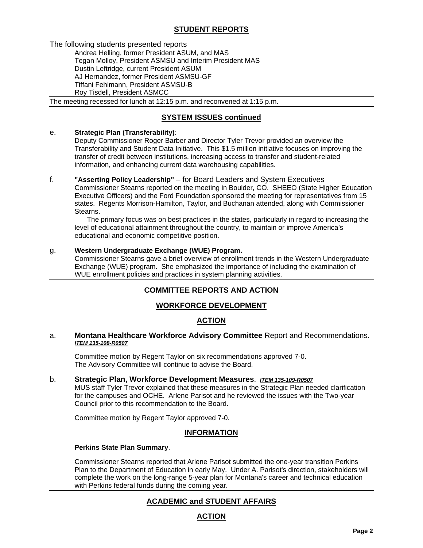## **STUDENT REPORTS**

The following students presented reports

Andrea Helling, former President ASUM, and MAS Tegan Molloy, President ASMSU and Interim President MAS Dustin Leftridge, current President ASUM AJ Hernandez, former President ASMSU-GF Tiffani Fehlmann, President ASMSU-B Roy Tisdell, President ASMCC

The meeting recessed for lunch at 12:15 p.m. and reconvened at 1:15 p.m.

## **SYSTEM ISSUES continued**

#### e. **Strategic Plan (Transferability)**:

Deputy Commissioner Roger Barber and Director Tyler Trevor provided an overview the Transferability and Student Data Initiative. This \$1.5 million initiative focuses on improving the transfer of credit between institutions, increasing access to transfer and student-related information, and enhancing current data warehousing capabilities.

### f. **"Asserting Policy Leadership"** – for Board Leaders and System Executives

Commissioner Stearns reported on the meeting in Boulder, CO. SHEEO (State Higher Education Executive Officers) and the Ford Foundation sponsored the meeting for representatives from 15 states. Regents Morrison-Hamilton, Taylor, and Buchanan attended, along with Commissioner Stearns.

The primary focus was on best practices in the states, particularly in regard to increasing the level of educational attainment throughout the country, to maintain or improve America's educational and economic competitive position.

#### g. **Western Undergraduate Exchange (WUE) Program.**

 Commissioner Stearns gave a brief overview of enrollment trends in the Western Undergraduate Exchange (WUE) program. She emphasized the importance of including the examination of WUE enrollment policies and practices in system planning activities.

## **COMMITTEE REPORTS AND ACTION**

## **WORKFORCE DEVELOPMENT**

## **ACTION**

#### a. **Montana Healthcare Workforce Advisory Committee** Report and Recommendations. *ITEM 135-108-R0507*

Committee motion by Regent Taylor on six recommendations approved 7-0. The Advisory Committee will continue to advise the Board.

#### b. **Strategic Plan, Workforce Development Measures**.*ITEM 135-109-R0507*

MUS staff Tyler Trevor explained that these measures in the Strategic Plan needed clarification for the campuses and OCHE. Arlene Parisot and he reviewed the issues with the Two-year Council prior to this recommendation to the Board.

Committee motion by Regent Taylor approved 7-0.

#### **INFORMATION**

#### **Perkins State Plan Summary**.

 Commissioner Stearns reported that Arlene Parisot submitted the one-year transition Perkins Plan to the Department of Education in early May. Under A. Parisot's direction, stakeholders will complete the work on the long-range 5-year plan for Montana's career and technical education with Perkins federal funds during the coming year.

## **ACADEMIC and STUDENT AFFAIRS**

## **ACTION**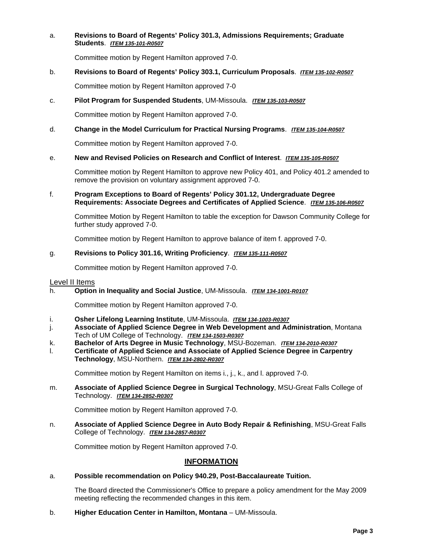#### a. **Revisions to Board of Regents' Policy 301.3, Admissions Requirements; Graduate Students**. *ITEM 135-101-R0507*

Committee motion by Regent Hamilton approved 7-0.

#### b. **Revisions to Board of Regents' Policy 303.1, Curriculum Proposals**. *ITEM 135-102-R0507*

Committee motion by Regent Hamilton approved 7-0

#### c. **Pilot Program for Suspended Students**, UM-Missoula. *ITEM 135-103-R0507*

Committee motion by Regent Hamilton approved 7-0.

#### d. **Change in the Model Curriculum for Practical Nursing Programs**. *ITEM 135-104-R0507*

Committee motion by Regent Hamilton approved 7-0.

#### e. **New and Revised Policies on Research and Conflict of Interest**. *ITEM 135-105-R0507*

Committee motion by Regent Hamilton to approve new Policy 401, and Policy 401.2 amended to remove the provision on voluntary assignment approved 7-0.

#### f. **Program Exceptions to Board of Regents' Policy 301.12, Undergraduate Degree Requirements: Associate Degrees and Certificates of Applied Science**. *ITEM 135-106-R0507*

Committee Motion by Regent Hamilton to table the exception for Dawson Community College for further study approved 7-0.

Committee motion by Regent Hamilton to approve balance of item f. approved 7-0.

#### g. **Revisions to Policy 301.16, Writing Proficiency**. *ITEM 135-111-R0507*

Committee motion by Regent Hamilton approved 7-0.

#### Level II Items

h. **Option in Inequality and Social Justice**, UM-Missoula. *ITEM 134-1001-R0107*

Committee motion by Regent Hamilton approved 7-0.

- i. **Osher Lifelong Learning Institute**, UM-Missoula. *ITEM 134-1003-R0307*
- j. **Associate of Applied Science Degree in Web Development and Administration**, Montana Tech of UM College of Technology.*ITEM 134-1503-R0307*
- k. **Bachelor of Arts Degree in Music Technology**, MSU-Bozeman. *ITEM 134-2010-R0307*
- l. **Certificate of Applied Science and Associate of Applied Science Degree in Carpentry Technology**, MSU-Northern. *ITEM 134-2802-R0307*

Committee motion by Regent Hamilton on items i., j., k., and l. approved 7-0.

m. **Associate of Applied Science Degree in Surgical Technology**, MSU-Great Falls College of Technology. *ITEM 134-2852-R0307*

Committee motion by Regent Hamilton approved 7-0.

n. **Associate of Applied Science Degree in Auto Body Repair & Refinishing**, MSU-Great Falls College of Technology. *ITEM 134-2857-R0307*

Committee motion by Regent Hamilton approved 7-0.

#### **INFORMATION**

#### a. **Possible recommendation on Policy 940.29, Post-Baccalaureate Tuition.**

The Board directed the Commissioner's Office to prepare a policy amendment for the May 2009 meeting reflecting the recommended changes in this item.

b. **Higher Education Center in Hamilton, Montana** – UM-Missoula.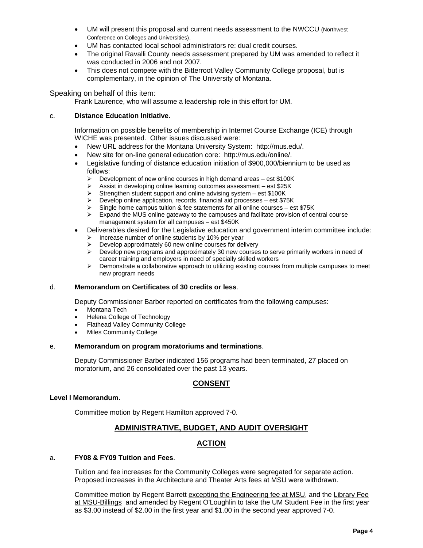- UM will present this proposal and current needs assessment to the NWCCU (Northwest Conference on Colleges and Universities).
- UM has contacted local school administrators re: dual credit courses.
- The original Ravalli County needs assessment prepared by UM was amended to reflect it was conducted in 2006 and not 2007.
- This does not compete with the Bitterroot Valley Community College proposal, but is complementary, in the opinion of The University of Montana.

#### Speaking on behalf of this item:

Frank Laurence, who will assume a leadership role in this effort for UM.

#### c. **Distance Education Initiative**.

Information on possible benefits of membership in Internet Course Exchange (ICE) through WICHE was presented. Other issues discussed were:

- New URL address for the Montana University System: http://mus.edu/.
- New site for on-line general education core: http://mus.edu/online/.
- Legislative funding of distance education initiation of \$900,000/biennium to be used as follows:
	- $\triangleright$  Development of new online courses in high demand areas est \$100K
	- $\triangleright$  Assist in developing online learning outcomes assessment est \$25K
	- $\triangleright$  Strengthen student support and online advising system est \$100K
	- $\triangleright$  Develop online application, records, financial aid processes est \$75K
	- Single home campus tuition & fee statements for all online courses est \$75K
	- $\triangleright$  Expand the MUS online gateway to the campuses and facilitate provision of central course management system for all campuses – est \$450K
- Deliverables desired for the Legislative education and government interim committee include:
	- $\triangleright$  Increase number of online students by 10% per year
	- Develop approximately 60 new online courses for delivery
	- $\triangleright$  Develop new programs and approximately 30 new courses to serve primarily workers in need of career training and employers in need of specially skilled workers
	- ¾ Demonstrate a collaborative approach to utilizing existing courses from multiple campuses to meet new program needs

#### d. **Memorandum on Certificates of 30 credits or less**.

Deputy Commissioner Barber reported on certificates from the following campuses:

- Montana Tech
- Helena College of Technology
- Flathead Valley Community College
- **Miles Community College**

#### e. **Memorandum on program moratoriums and terminations**.

Deputy Commissioner Barber indicated 156 programs had been terminated, 27 placed on moratorium, and 26 consolidated over the past 13 years.

## **CONSENT**

#### **Level I Memorandum.**

Committee motion by Regent Hamilton approved 7-0.

## **ADMINISTRATIVE, BUDGET, AND AUDIT OVERSIGHT**

## **ACTION**

#### a. **FY08 & FY09 Tuition and Fees**.

Tuition and fee increases for the Community Colleges were segregated for separate action. Proposed increases in the Architecture and Theater Arts fees at MSU were withdrawn.

Committee motion by Regent Barrett excepting the Engineering fee at MSU, and the Library Fee at MSU-Billings and amended by Regent O'Loughlin to take the UM Student Fee in the first year as \$3.00 instead of \$2.00 in the first year and \$1.00 in the second year approved 7-0.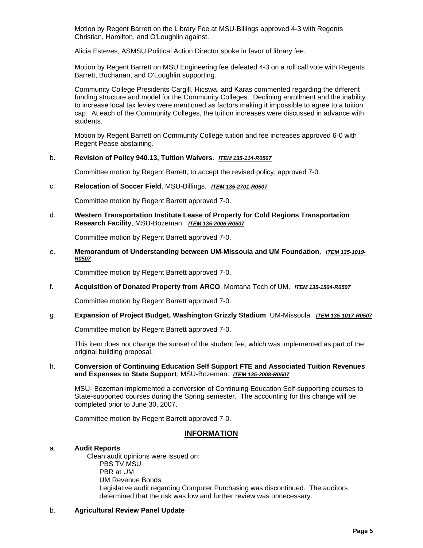Motion by Regent Barrett on the Library Fee at MSU-Billings approved 4-3 with Regents Christian, Hamilton, and O'Loughlin against.

Alicia Esteves, ASMSU Political Action Director spoke in favor of library fee.

Motion by Regent Barrett on MSU Engineering fee defeated 4-3 on a roll call vote with Regents Barrett, Buchanan, and O'Loughlin supporting.

Community College Presidents Cargill, Hicswa, and Karas commented regarding the different funding structure and model for the Community Colleges. Declining enrollment and the inability to increase local tax levies were mentioned as factors making it impossible to agree to a tuition cap. At each of the Community Colleges, the tuition increases were discussed in advance with students.

Motion by Regent Barrett on Community College tuition and fee increases approved 6-0 with Regent Pease abstaining.

#### b. **Revision of Policy 940.13, Tuition Waivers**. *ITEM 135-114-R0507*

Committee motion by Regent Barrett, to accept the revised policy, approved 7-0.

#### c. **Relocation of Soccer Field**, MSU-Billings. *ITEM 135-2701-R0507*

Committee motion by Regent Barrett approved 7-0.

d. **Western Transportation Institute Lease of Property for Cold Regions Transportation Research Facility**, MSU-Bozeman. *ITEM 135-2006-R0507*

Committee motion by Regent Barrett approved 7-0.

e. **Memorandum of Understanding between UM-Missoula and UM Foundation**. *ITEM 135-1019- R0507*

Committee motion by Regent Barrett approved 7-0.

f. **Acquisition of Donated Property from ARCO**, Montana Tech of UM. *ITEM 135-1504-R0507*

Committee motion by Regent Barrett approved 7-0.

g. **Expansion of Project Budget, Washington Grizzly Stadium**, UM-Missoula. *ITEM 135-1017-R0507*

Committee motion by Regent Barrett approved 7-0.

This item does not change the sunset of the student fee, which was implemented as part of the original building proposal.

#### h. **Conversion of Continuing Education Self Support FTE and Associated Tuition Revenues and Expenses to State Support**, MSU-Bozeman. *ITEM 135-2008-R0507*

MSU- Bozeman implemented a conversion of Continuing Education Self-supporting courses to State-supported courses during the Spring semester. The accounting for this change will be completed prior to June 30, 2007.

Committee motion by Regent Barrett approved 7-0.

#### **INFORMATION**

#### a. **Audit Reports**

Clean audit opinions were issued on: PBS TV MSU PBR at UM UM Revenue Bonds Legislative audit regarding Computer Purchasing was discontinued. The auditors determined that the risk was low and further review was unnecessary.

#### b. **Agricultural Review Panel Update**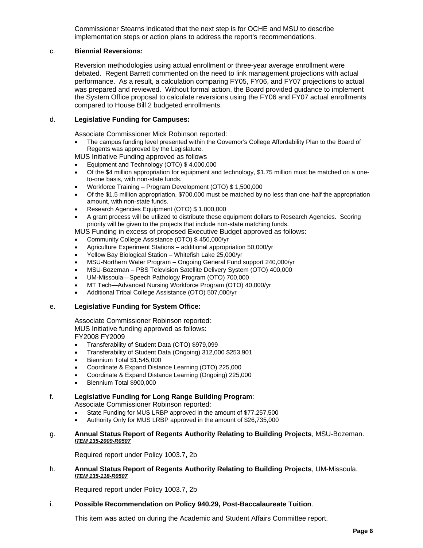Commissioner Stearns indicated that the next step is for OCHE and MSU to describe implementation steps or action plans to address the report's recommendations.

#### c. **Biennial Reversions:**

Reversion methodologies using actual enrollment or three-year average enrollment were debated. Regent Barrett commented on the need to link management projections with actual performance. As a result, a calculation comparing FY05, FY06, and FY07 projections to actual was prepared and reviewed. Without formal action, the Board provided guidance to implement the System Office proposal to calculate reversions using the FY06 and FY07 actual enrollments compared to House Bill 2 budgeted enrollments.

#### d. **Legislative Funding for Campuses:**

Associate Commissioner Mick Robinson reported:

• The campus funding level presented within the Governor's College Affordability Plan to the Board of Regents was approved by the Legislature.

MUS Initiative Funding approved as follows

- Equipment and Technology (OTO) \$ 4,000,000
- Of the \$4 million appropriation for equipment and technology, \$1.75 million must be matched on a oneto-one basis, with non-state funds.
- Workforce Training Program Development (OTO) \$ 1,500,000
- Of the \$1.5 million appropriation, \$700,000 must be matched by no less than one-half the appropriation amount, with non-state funds.
- Research Agencies Equipment (OTO) \$ 1,000,000
- A grant process will be utilized to distribute these equipment dollars to Research Agencies. Scoring priority will be given to the projects that include non-state matching funds.

MUS Funding in excess of proposed Executive Budget approved as follows:

- Community College Assistance (OTO) \$ 450,000/yr
- Agriculture Experiment Stations additional appropriation 50,000/yr
- Yellow Bay Biological Station Whitefish Lake 25,000/yr
- MSU-Northern Water Program Ongoing General Fund support 240,000/yr
- MSU-Bozeman PBS Television Satellite Delivery System (OTO) 400,000
- UM-Missoula—Speech Pathology Program (OTO) 700,000
- MT Tech—Advanced Nursing Workforce Program (OTO) 40,000/yr
- Additional Tribal College Assistance (OTO) 507,000/yr

#### e. **Legislative Funding for System Office:**

Associate Commissioner Robinson reported: MUS Initiative funding approved as follows:

FY2008 FY2009

- Transferability of Student Data (OTO) \$979,099
- Transferability of Student Data (Ongoing) 312,000 \$253,901
- Biennium Total \$1,545,000
- Coordinate & Expand Distance Learning (OTO) 225,000
- Coordinate & Expand Distance Learning (Ongoing) 225,000
- Biennium Total \$900,000

#### f. **Legislative Funding for Long Range Building Program**:

Associate Commissioner Robinson reported:

- State Funding for MUS LRBP approved in the amount of \$77,257,500
- Authority Only for MUS LRBP approved in the amount of \$26,735,000

#### g. **Annual Status Report of Regents Authority Relating to Building Projects**, MSU-Bozeman. *ITEM 135-2009-R0507*

Required report under Policy 1003.7, 2b

h. **Annual Status Report of Regents Authority Relating to Building Projects**, UM-Missoula. *ITEM 135-118-R0507*

Required report under Policy 1003.7, 2b

#### i. **Possible Recommendation on Policy 940.29, Post-Baccalaureate Tuition**.

This item was acted on during the Academic and Student Affairs Committee report.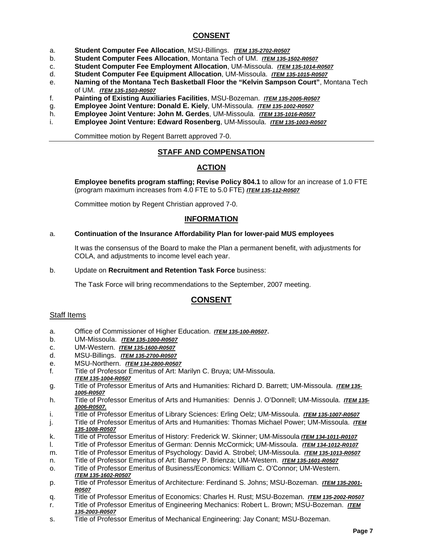## **CONSENT**

- a. **Student Computer Fee Allocation**, MSU-Billings. *ITEM 135-2702-R0507*
- b. **Student Computer Fees Allocation**, Montana Tech of UM. *ITEM 135-1502-R0507*
- c. **Student Computer Fee Employment Allocation**, UM-Missoula. *ITEM 135-1014-R0507*
- d. **Student Computer Fee Equipment Allocation**, UM-Missoula. *ITEM 135-1015-R0507*
- e. **Naming of the Montana Tech Basketball Floor the "Kelvin Sampson Court"**, Montana Tech of UM. *ITEM 135-1503-R0507*
- f. **Painting of Existing Auxiliaries Facilities**, MSU-Bozeman. *ITEM 135-2005-R0507*
- g. **Employee Joint Venture: Donald E. Kiely**, UM-Missoula. *ITEM 135-1002-R0507*
- h. **Employee Joint Venture: John M. Gerdes**, UM-Missoula. *ITEM 135-1016-R0507*
- i. **Employee Joint Venture: Edward Rosenberg**, UM-Missoula. *ITEM 135-1003-R0507*

Committee motion by Regent Barrett approved 7-0.

## **STAFF AND COMPENSATION**

## **ACTION**

**Employee benefits program staffing; Revise Policy 804.1** to allow for an increase of 1.0 FTE (program maximum increases from 4.0 FTE to 5.0 FTE) *ITEM 135-112-R0507*

Committee motion by Regent Christian approved 7-0.

#### **INFORMATION**

#### a. **Continuation of the Insurance Affordability Plan for lower-paid MUS employees**

It was the consensus of the Board to make the Plan a permanent benefit, with adjustments for COLA, and adjustments to income level each year.

#### b. Update on **Recruitment and Retention Task Force** business:

The Task Force will bring recommendations to the September, 2007 meeting.

## **CONSENT**

#### Staff Items

- a. Office of Commissioner of Higher Education. *ITEM 135-100-R0507*. b. UM-Missoula. *ITEM 135-1000-R0507*
- 
- c. UM-Western. *ITEM 135-1600-R0507*
- d. MSU-Billings. *ITEM 135-2700-R0507*
- e. MSU-Northern. *ITEM 134-2800-R0507*
- f. Title of Professor Emeritus of Art: Marilyn C. Bruya; UM-Missoula. *ITEM 135-1004-R0507*
- g. Title of Professor Emeritus of Arts and Humanities: Richard D. Barrett; UM-Missoula. *ITEM 135- 1005-R0507*
- h. Title of Professor Emeritus of Arts and Humanities: Dennis J. O'Donnell; UM-Missoula. *ITEM 135- 1006-R0507.*
- i. Title of Professor Emeritus of Library Sciences: Erling Oelz; UM-Missoula. *ITEM 135-1007-R0507*
- j. Title of Professor Emeritus of Arts and Humanities: Thomas Michael Power; UM-Missoula. *ITEM 135-1008-R0507*
- k. Title of Professor Emeritus of History: Frederick W. Skinner; UM-Missoula *ITEM 134-1011-R0107*
- l. Title of Professor Emeritus of German: Dennis McCormick; UM-Missoula. *ITEM 134-1012-R0107*
- m. Title of Professor Emeritus of Psychology: David A. Strobel; UM-Missoula. *ITEM 135-1013-R0507*
- n. Title of Professor Emeritus of Art: Barney P. Brienza; UM-Western. *ITEM 135-1601-R0507*
- o. Title of Professor Emeritus of Business/Economics: William C. O'Connor; UM-Western. *ITEM 135-1602-R0507*
- p. Title of Professor Emeritus of Architecture: Ferdinand S. Johns; MSU-Bozeman. *ITEM 135-2001- R0507*
- q. Title of Professor Emeritus of Economics: Charles H. Rust; MSU-Bozeman. *ITEM 135-2002-R0507*
- r. Title of Professor Emeritus of Engineering Mechanics: Robert L. Brown; MSU-Bozeman. *ITEM 135-2003-R0507*
- s. Title of Professor Emeritus of Mechanical Engineering: Jay Conant; MSU-Bozeman.